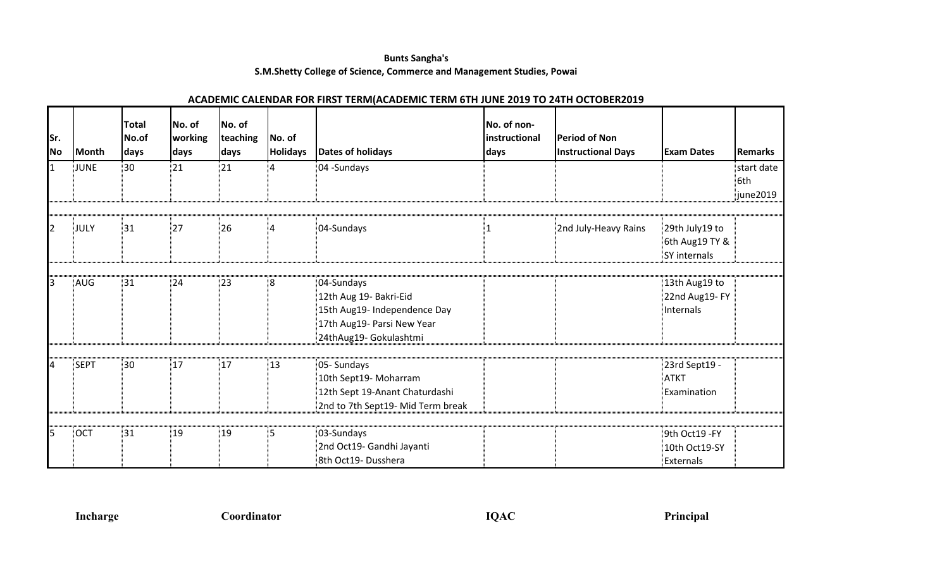## **Bunts Sangha's**

## **S.M.Shetty College of Science, Commerce and Management Studies, Powai**

| Sr.<br><b>No</b> | Month       | <b>Total</b><br>No.of<br>days | No. of<br>working<br>days | No. of<br>teaching<br>days | No. of<br><b>Holidays</b> | Dates of holidays                                                                                                            | No. of non-<br>instructional<br>days | <b>Period of Non</b><br><b>Instructional Days</b> | <b>Exam Dates</b>                                | <b>Remarks</b>                |
|------------------|-------------|-------------------------------|---------------------------|----------------------------|---------------------------|------------------------------------------------------------------------------------------------------------------------------|--------------------------------------|---------------------------------------------------|--------------------------------------------------|-------------------------------|
| $\mathbf{1}$     | <b>JUNE</b> | 30                            | 21                        | 21                         | $\overline{4}$            | 04 - Sundays                                                                                                                 |                                      |                                                   |                                                  | start date<br>6th<br>june2019 |
| $\overline{2}$   | JULY        | 31                            | 27                        | 26                         | $\overline{4}$            | 04-Sundays                                                                                                                   |                                      | 2nd July-Heavy Rains                              | 29th July19 to<br>6th Aug19 TY &<br>SY internals |                               |
| $\overline{3}$   | AUG         | 31                            | 24                        | 23                         | 8                         | 04-Sundays<br>12th Aug 19- Bakri-Eid<br>15th Aug19- Independence Day<br>17th Aug19- Parsi New Year<br>24thAug19- Gokulashtmi |                                      |                                                   | 13th Aug19 to<br>22nd Aug19-FY<br>Internals      |                               |
| 4                | <b>SEPT</b> | 30                            | 17                        | 17                         | 13                        | 05-Sundays<br>10th Sept19- Moharram<br>12th Sept 19-Anant Chaturdashi<br>2nd to 7th Sept19- Mid Term break                   |                                      |                                                   | 23rd Sept19 -<br><b>ATKT</b><br>Examination      |                               |
| 5                | OCT         | 31                            | 19                        | 19                         | 5                         | 03-Sundays<br>2nd Oct19- Gandhi Jayanti<br>8th Oct19- Dusshera                                                               |                                      |                                                   | 9th Oct19 - FY<br>10th Oct19-SY<br>Externals     |                               |

## **ACADEMIC CALENDAR FOR FIRST TERM(ACADEMIC TERM 6TH JUNE 2019 TO 24TH OCTOBER2019**